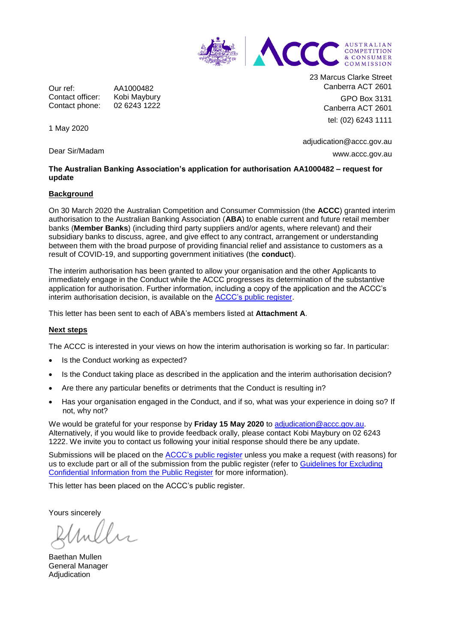

Our ref: AA1000482 Contact officer: Kobi Maybury<br>Contact phone: 02 6243 1222 Contact phone:

23 Marcus Clarke Street Canberra ACT 2601 GPO Box 3131 Canberra ACT 2601 tel: (02) 6243 1111

adjudication@accc.gov.au www.accc.gov.au

## **The Australian Banking Association's application for authorisation AA1000482 – request for update**

## **Background**

1 May 2020

Dear Sir/Madam

On 30 March 2020 the Australian Competition and Consumer Commission (the **ACCC**) granted interim authorisation to the Australian Banking Association (**ABA**) to enable current and future retail member banks (**Member Banks**) (including third party suppliers and/or agents, where relevant) and their subsidiary banks to discuss, agree, and give effect to any contract, arrangement or understanding between them with the broad purpose of providing financial relief and assistance to customers as a result of COVID-19, and supporting government initiatives (the **conduct**).

The interim authorisation has been granted to allow your organisation and the other Applicants to immediately engage in the Conduct while the ACCC progresses its determination of the substantive application for authorisation. Further information, including a copy of the application and the ACCC's interim authorisation decision, is available on the ACCC's [public register.](https://www.accc.gov.au/public-registers/authorisations-and-notifications-registers/authorisations-register/australian-banking-association-financial-relief-programs)

This letter has been sent to each of ABA's members listed at **Attachment A**.

## **Next steps**

The ACCC is interested in your views on how the interim authorisation is working so far. In particular:

- Is the Conduct working as expected?
- Is the Conduct taking place as described in the application and the interim authorisation decision?
- Are there any particular benefits or detriments that the Conduct is resulting in?
- Has your organisation engaged in the Conduct, and if so, what was your experience in doing so? If not, why not?

We would be grateful for your response by **Friday 15 May 2020** to [adjudication@accc.gov.au.](mailto:adjudication@accc.gov.au) Alternatively, if you would like to provide feedback orally, please contact Kobi Maybury on 02 6243 1222. We invite you to contact us following your initial response should there be any update.

Submissions will be placed on the **ACCC's public register** unless you make a request (with reasons) for us to exclude part or all of the submission from the public register (refer to [Guidelines for Excluding](https://www.accc.gov.au/publications/guidelines-for-excluding-confidential-information-from-the-public-register-for-authorisation-and-notification-processes) Confidential [Information from the Public Register](https://www.accc.gov.au/publications/guidelines-for-excluding-confidential-information-from-the-public-register-for-authorisation-and-notification-processes) for more information).

This letter has been placed on the ACCC's public register.

Yours sincerely

Baethan Mullen General Manager Adjudication